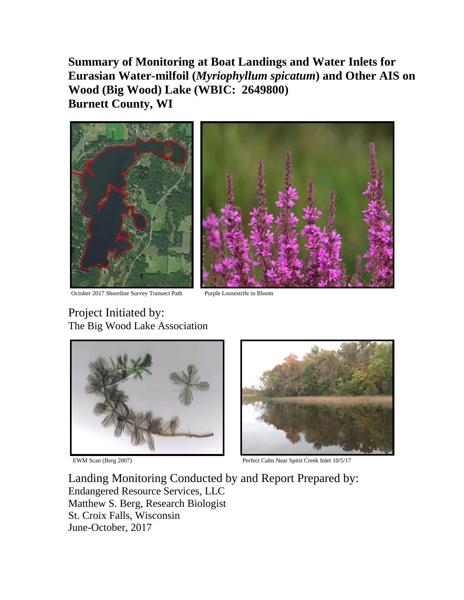**Summary of Monitoring at Boat Landings and Water Inlets for Eurasian Water-milfoil (***Myriophyllum spicatum***) and Other AIS on Wood (Big Wood) Lake (WBIC: 2649800) Burnett County, WI**



October 2017 Shoreline Survey Transect Path Purple Loosestrife in Bloom



# Project Initiated by: The Big Wood Lake Association





EWM Scan (Berg 2007) Perfect Calm Near Spirit Creek Inlet 10/5/17

Landing Monitoring Conducted by and Report Prepared by: Endangered Resource Services, LLC Matthew S. Berg, Research Biologist St. Croix Falls, Wisconsin June-October, 2017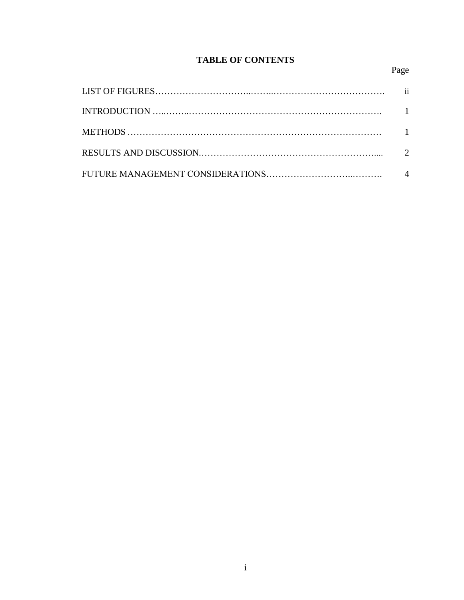#### **TABLE OF CONTENTS**

## Page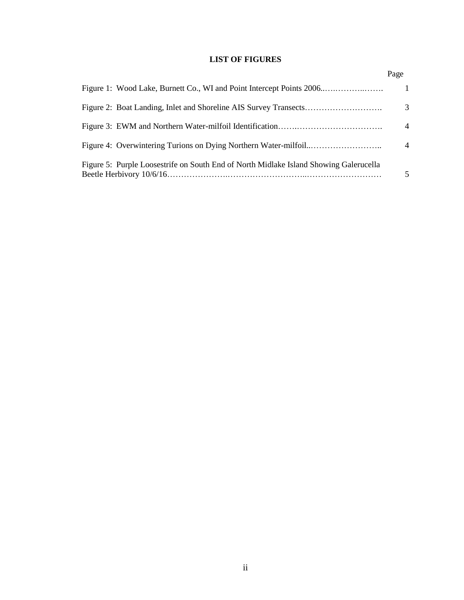#### **LIST OF FIGURES**

|                                                                                       | Page           |
|---------------------------------------------------------------------------------------|----------------|
| Figure 1: Wood Lake, Burnett Co., WI and Point Intercept Points 2006                  | 1              |
|                                                                                       | 3              |
|                                                                                       | $\overline{4}$ |
|                                                                                       | $\overline{4}$ |
| Figure 5: Purple Loosestrife on South End of North Midlake Island Showing Galerucella | 5              |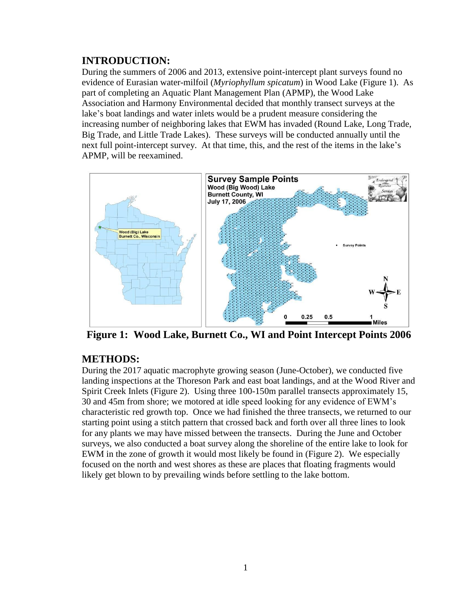## **INTRODUCTION:**

During the summers of 2006 and 2013, extensive point-intercept plant surveys found no evidence of Eurasian water-milfoil (*Myriophyllum spicatum*) in Wood Lake (Figure 1). As part of completing an Aquatic Plant Management Plan (APMP), the Wood Lake Association and Harmony Environmental decided that monthly transect surveys at the lake's boat landings and water inlets would be a prudent measure considering the increasing number of neighboring lakes that EWM has invaded (Round Lake, Long Trade, Big Trade, and Little Trade Lakes). These surveys will be conducted annually until the next full point-intercept survey. At that time, this, and the rest of the items in the lake's APMP, will be reexamined.



**Figure 1: Wood Lake, Burnett Co., WI and Point Intercept Points 2006**

#### **METHODS:**

During the 2017 aquatic macrophyte growing season (June-October), we conducted five landing inspections at the Thoreson Park and east boat landings, and at the Wood River and Spirit Creek Inlets (Figure 2). Using three 100-150m parallel transects approximately 15, 30 and 45m from shore; we motored at idle speed looking for any evidence of EWM's characteristic red growth top. Once we had finished the three transects, we returned to our starting point using a stitch pattern that crossed back and forth over all three lines to look for any plants we may have missed between the transects. During the June and October surveys, we also conducted a boat survey along the shoreline of the entire lake to look for EWM in the zone of growth it would most likely be found in (Figure 2). We especially focused on the north and west shores as these are places that floating fragments would likely get blown to by prevailing winds before settling to the lake bottom.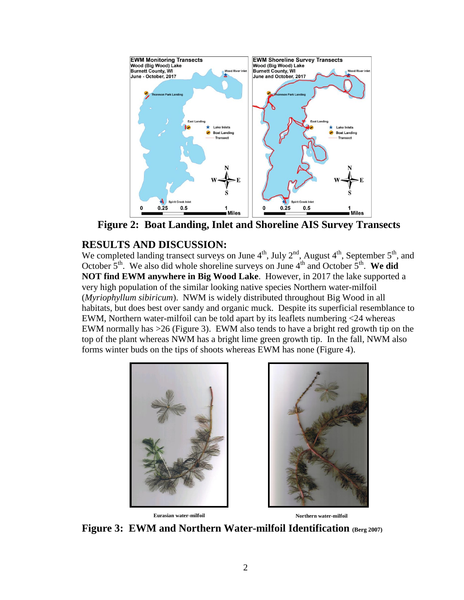

**Figure 2: Boat Landing, Inlet and Shoreline AIS Survey Transects**

## **RESULTS AND DISCUSSION:**

We completed landing transect surveys on June  $4^{\text{th}}$ , July  $2^{\text{nd}}$ , August  $4^{\text{th}}$ , September  $5^{\text{th}}$ , and October  $5<sup>th</sup>$ . We also did whole shoreline surveys on June  $4<sup>th</sup>$  and October  $5<sup>th</sup>$ . We did **NOT find EWM anywhere in Big Wood Lake**. However, in 2017 the lake supported a very high population of the similar looking native species Northern water-milfoil (*Myriophyllum sibiricum*). NWM is widely distributed throughout Big Wood in all habitats, but does best over sandy and organic muck. Despite its superficial resemblance to EWM, Northern water-milfoil can be told apart by its leaflets numbering <24 whereas EWM normally has >26 (Figure 3). EWM also tends to have a bright red growth tip on the top of the plant whereas NWM has a bright lime green growth tip. In the fall, NWM also forms winter buds on the tips of shoots whereas EWM has none (Figure 4).





**Figure 3: EWM and Northern Water-milfoil Identification (Berg 2007)**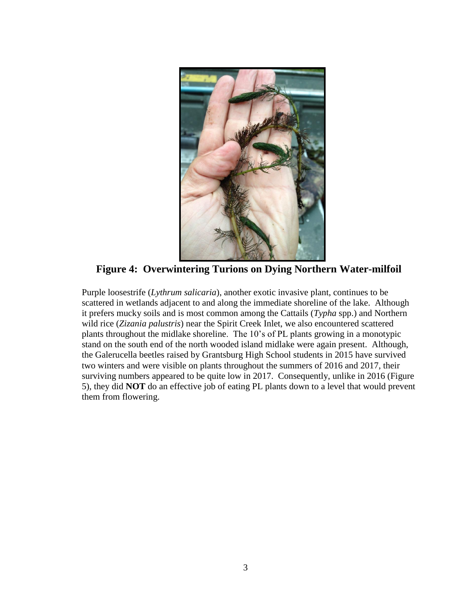

**Figure 4: Overwintering Turions on Dying Northern Water-milfoil** 

Purple loosestrife (*Lythrum salicaria*), another exotic invasive plant, continues to be scattered in wetlands adjacent to and along the immediate shoreline of the lake. Although it prefers mucky soils and is most common among the Cattails (*Typha* spp.) and Northern wild rice (*Zizania palustris*) near the Spirit Creek Inlet, we also encountered scattered plants throughout the midlake shoreline. The 10's of PL plants growing in a monotypic stand on the south end of the north wooded island midlake were again present. Although, the Galerucella beetles raised by Grantsburg High School students in 2015 have survived two winters and were visible on plants throughout the summers of 2016 and 2017, their surviving numbers appeared to be quite low in 2017. Consequently, unlike in 2016 (Figure 5), they did **NOT** do an effective job of eating PL plants down to a level that would prevent them from flowering.